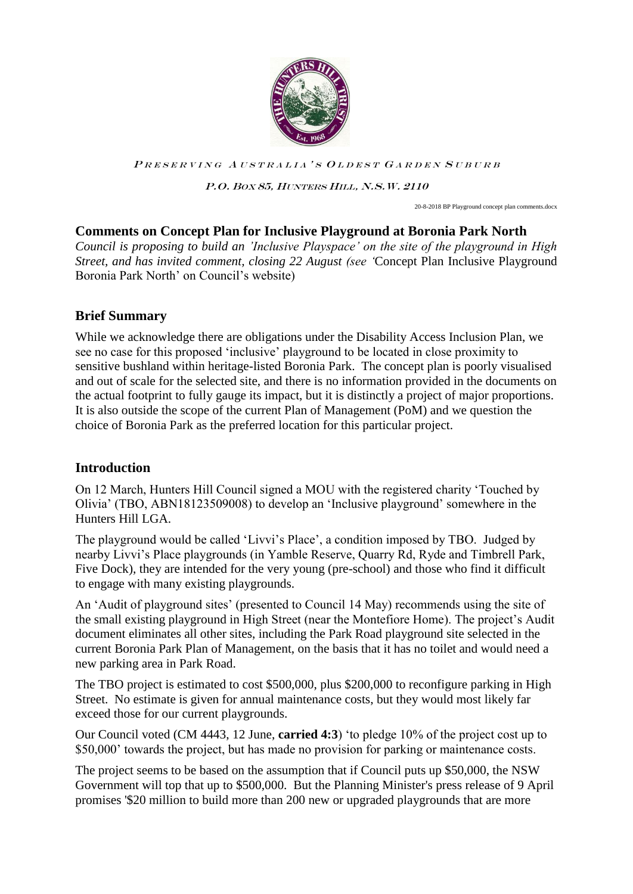

P.O. BOX 85, HUNTERS HILL, N.S.W. 2110

20-8-2018 BP Playground concept plan comments.docx

## **Comments on Concept Plan for Inclusive Playground at Boronia Park North**

*Council is proposing to build an 'Inclusive Playspace' on the site of the playground in High Street, and has invited comment, closing 22 August (see '*Concept Plan Inclusive Playground Boronia Park North' on Council's website)

### **Brief Summary**

While we acknowledge there are obligations under the Disability Access Inclusion Plan, we see no case for this proposed 'inclusive' playground to be located in close proximity to sensitive bushland within heritage-listed Boronia Park. The concept plan is poorly visualised and out of scale for the selected site, and there is no information provided in the documents on the actual footprint to fully gauge its impact, but it is distinctly a project of major proportions. It is also outside the scope of the current Plan of Management (PoM) and we question the choice of Boronia Park as the preferred location for this particular project.

### **Introduction**

On 12 March, Hunters Hill Council signed a MOU with the registered charity 'Touched by Olivia' (TBO, ABN18123509008) to develop an 'Inclusive playground' somewhere in the Hunters Hill LGA.

The playground would be called 'Livvi's Place', a condition imposed by TBO. Judged by nearby Livvi's Place playgrounds (in Yamble Reserve, Quarry Rd, Ryde and Timbrell Park, Five Dock), they are intended for the very young (pre-school) and those who find it difficult to engage with many existing playgrounds.

An 'Audit of playground sites' (presented to Council 14 May) recommends using the site of the small existing playground in High Street (near the Montefiore Home). The project's Audit document eliminates all other sites, including the Park Road playground site selected in the current Boronia Park Plan of Management, on the basis that it has no toilet and would need a new parking area in Park Road.

The TBO project is estimated to cost \$500,000, plus \$200,000 to reconfigure parking in High Street. No estimate is given for annual maintenance costs, but they would most likely far exceed those for our current playgrounds.

Our Council voted (CM 4443, 12 June, **carried 4:3**) 'to pledge 10% of the project cost up to \$50,000' towards the project, but has made no provision for parking or maintenance costs.

The project seems to be based on the assumption that if Council puts up \$50,000, the NSW Government will top that up to \$500,000. But the Planning Minister's press release of 9 April promises '\$20 million to build more than 200 new or upgraded playgrounds that are more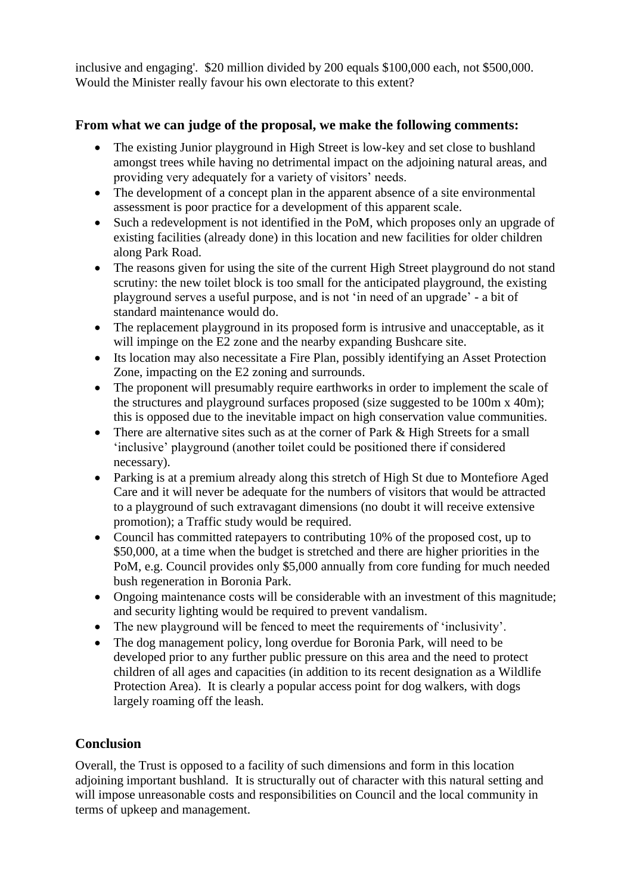inclusive and engaging'. \$20 million divided by 200 equals \$100,000 each, not \$500,000. Would the Minister really favour his own electorate to this extent?

## **From what we can judge of the proposal, we make the following comments:**

- The existing Junior playground in High Street is low-key and set close to bushland amongst trees while having no detrimental impact on the adjoining natural areas, and providing very adequately for a variety of visitors' needs.
- The development of a concept plan in the apparent absence of a site environmental assessment is poor practice for a development of this apparent scale.
- Such a redevelopment is not identified in the PoM, which proposes only an upgrade of existing facilities (already done) in this location and new facilities for older children along Park Road.
- The reasons given for using the site of the current High Street playground do not stand scrutiny: the new toilet block is too small for the anticipated playground, the existing playground serves a useful purpose, and is not 'in need of an upgrade' - a bit of standard maintenance would do.
- The replacement playground in its proposed form is intrusive and unacceptable, as it will impinge on the E2 zone and the nearby expanding Bushcare site.
- Its location may also necessitate a Fire Plan, possibly identifying an Asset Protection Zone, impacting on the E2 zoning and surrounds.
- The proponent will presumably require earthworks in order to implement the scale of the structures and playground surfaces proposed (size suggested to be 100m x 40m); this is opposed due to the inevitable impact on high conservation value communities.
- There are alternative sites such as at the corner of Park & High Streets for a small 'inclusive' playground (another toilet could be positioned there if considered necessary).
- Parking is at a premium already along this stretch of High St due to Montefiore Aged Care and it will never be adequate for the numbers of visitors that would be attracted to a playground of such extravagant dimensions (no doubt it will receive extensive promotion); a Traffic study would be required.
- Council has committed ratepayers to contributing 10% of the proposed cost, up to \$50,000, at a time when the budget is stretched and there are higher priorities in the PoM, e.g. Council provides only \$5,000 annually from core funding for much needed bush regeneration in Boronia Park.
- Ongoing maintenance costs will be considerable with an investment of this magnitude; and security lighting would be required to prevent vandalism.
- The new playground will be fenced to meet the requirements of 'inclusivity'.
- The dog management policy, long overdue for Boronia Park, will need to be developed prior to any further public pressure on this area and the need to protect children of all ages and capacities (in addition to its recent designation as a Wildlife Protection Area). It is clearly a popular access point for dog walkers, with dogs largely roaming off the leash.

# **Conclusion**

Overall, the Trust is opposed to a facility of such dimensions and form in this location adjoining important bushland. It is structurally out of character with this natural setting and will impose unreasonable costs and responsibilities on Council and the local community in terms of upkeep and management.